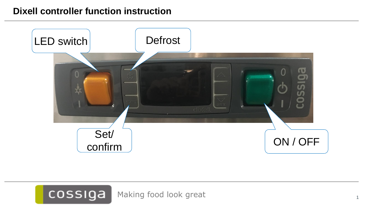## **Dixell controller function instruction**



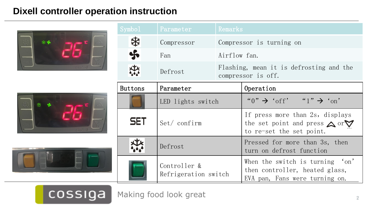## **Dixell controller operation instruction**







cossiga

| Symbo1         | Parameter                            | Remarks                                                       |                                                                                                                       |  |  |
|----------------|--------------------------------------|---------------------------------------------------------------|-----------------------------------------------------------------------------------------------------------------------|--|--|
| ╬              | Compressor                           |                                                               | Compressor is turning on                                                                                              |  |  |
| Я              | Fan                                  | Airflow fan.                                                  |                                                                                                                       |  |  |
|                | Defrost                              | Flashing, mean it is defrosting and the<br>compressor is off. |                                                                                                                       |  |  |
| <b>Buttons</b> | Parameter                            |                                                               | Operation                                                                                                             |  |  |
|                | LED lights switch                    |                                                               | " $0$ " $\rightarrow$ 'off' " $1$ " $\rightarrow$ 'on'                                                                |  |  |
| <b>SET</b>     | Set/confirm                          |                                                               | If press more than 2s, displays<br>the set point and press $\triangle$ or $\triangledown$<br>to re-set the set point. |  |  |
|                | Defrost                              |                                                               | Pressed for more than 3s, then<br>turn on defrost function                                                            |  |  |
|                | Controller &<br>Refrigeration switch |                                                               | When the switch is turning 'on'<br>then controller, heated glass,<br>EVA pan, Fans were turning on.                   |  |  |

Making food look great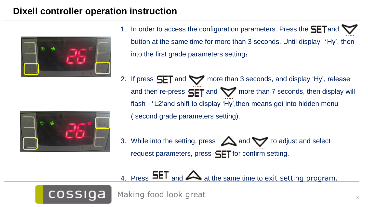## **Dixell controller operation instruction**



- 1. In order to access the configuration parameters. Press the  $SET$  and  $\nabla$ button at the same time for more than 3 seconds. Until display 'Hy', then into the first grade parameters setting;
- 2. If press  $SET$  and  $\blacktriangledown$  more than 3 seconds, and display 'Hy', release and then re-press  $SET$  and  $\blacktriangledown$  more than 7 seconds, then display will flash 'L2'and shift to display 'Hy',then means get into hidden menu ( second grade parameters setting).



cossiga

3. While into the setting, press  $\triangle$  and  $\triangledown$  to adjust and select request parameters, press  $SET$  for confirm setting.

# 4. Press **SET** and **A** at the same time to exit setting program.

Making food look great 33 and 33 and 33 and 33 and 33 and 33 and 33 and 33 and 33 and 33 and 33 and 33 and 33 and 33 and 33 and 33 and 33 and 33 and 33 and 33 and 33 and 33 and 33 and 33 and 33 and 33 and 33 and 33 and 33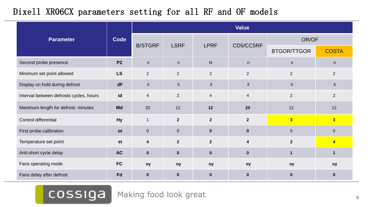## Dixell XR06CX parameters setting for all RF and OF models

|                                         |           | <b>Value</b>     |                |                |                  |                    |                         |  |
|-----------------------------------------|-----------|------------------|----------------|----------------|------------------|--------------------|-------------------------|--|
| <b>Parameter</b>                        | Code      | <b>B/STGRF</b>   | <b>LSRF</b>    | <b>LPRF</b>    | CD5/CC5RF        | OR/OF              |                         |  |
|                                         |           |                  |                |                |                  | <b>BTGOR/TTGOR</b> | <b>COSTA</b>            |  |
| Second probe presence                   | <b>P2</b> | n                | n              | ${\sf N}$      | n                | n                  | n                       |  |
| Minimum set point allowed               | <b>LS</b> | $\overline{2}$   | $\overline{2}$ | $\overline{2}$ | 2                | $\overline{2}$     | 2                       |  |
| Display on hold during defrost          | dF        | it               | it             | it             | it               | it                 | it                      |  |
| Interval between defrosts cycles, hours | id        | $\overline{4}$   | $\overline{2}$ | $\overline{4}$ | $\overline{4}$   | 2                  | $\overline{2}$          |  |
| Maximum length for defrost. minutes     | <b>Md</b> | 20               | 12             | 12             | 20               | 12                 | 12                      |  |
| Control differential                    | <b>Hy</b> | $\mathbf{1}$     | 2 <sup>2</sup> | $\overline{2}$ | $\overline{2}$   | 3                  | $\overline{\mathbf{3}}$ |  |
| First probe calibration                 | <b>ot</b> | $\overline{0}$   | $\overline{0}$ | $\mathbf{0}$   | $\mathbf 0$      | $\overline{0}$     | $\overline{0}$          |  |
| Temperature set point                   | <b>st</b> | $\boldsymbol{4}$ | 2 <sup>2</sup> | $\mathbf{2}$   | $\boldsymbol{4}$ | $\overline{2}$     | $\overline{\mathbf{4}}$ |  |
| Anti-short cycle delay                  | <b>AC</b> | $\mathbf 0$      | $\mathbf 0$    | $\mathbf 0$    | $\mathbf 0$      | $\mathbf{1}$       | $\mathbf 1$             |  |
| Fans operating mode                     | <b>FC</b> | oy               | oy             | oy             | oy               | oy                 | oy                      |  |
| Fans delay after defrost                | Fd        | $\mathbf 0$      | $\mathbf 0$    | $\mathbf 0$    | $\mathbf 0$      | $\mathbf 0$        | $\mathbf 0$             |  |

cossiga Making food look great 4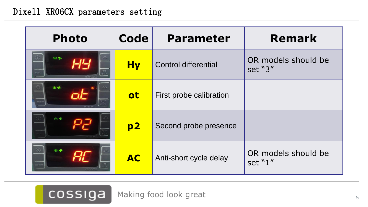### Dixell XR06CX parameters setting

| <b>Photo</b> | Code      | <b>Parameter</b>            | <b>Remark</b>                  |  |
|--------------|-----------|-----------------------------|--------------------------------|--|
| **           | <b>Hy</b> | <b>Control differential</b> | OR models should be<br>set "3" |  |
| ※ 字          | <b>ot</b> | First probe calibration     |                                |  |
| **           | p2        | Second probe presence       |                                |  |
| 张乐           | <b>AC</b> | Anti-short cycle delay      | OR models should be<br>set "1" |  |

COSSIGA Making food look great 5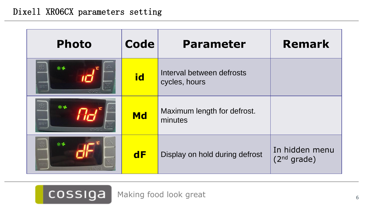| <b>Photo</b> | <b>Code</b> | <b>Parameter</b>                           | <b>Remark</b>                             |
|--------------|-------------|--------------------------------------------|-------------------------------------------|
|              | id          | Interval between defrosts<br>cycles, hours |                                           |
| 4∙ ≯         | <b>Md</b>   | Maximum length for defrost.<br>minutes     |                                           |
| *\$          | dF          | Display on hold during defrost             | In hidden menu<br>(2 <sup>nd</sup> grade) |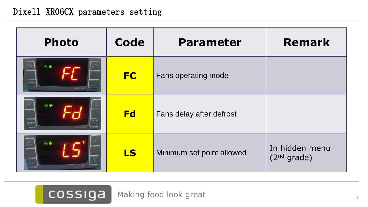### Dixell XR06CX parameters setting

| <b>Photo</b> | <b>Code</b> | <b>Parameter</b>          | <b>Remark</b>                             |
|--------------|-------------|---------------------------|-------------------------------------------|
| **           | <b>FC</b>   | Fans operating mode       |                                           |
| **           | <b>Fd</b>   | Fans delay after defrost  |                                           |
|              | <b>LS</b>   | Minimum set point allowed | In hidden menu<br>(2 <sup>nd</sup> grade) |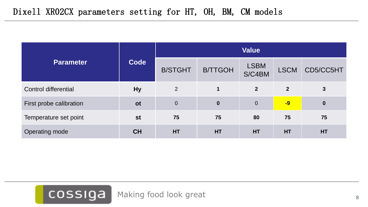|                             |           | <b>Value</b>   |                  |                       |                |              |
|-----------------------------|-----------|----------------|------------------|-----------------------|----------------|--------------|
| <b>Parameter</b>            | Code      | <b>B/STGHT</b> | <b>B/TTGOH</b>   | <b>LSBM</b><br>S/C4BM | <b>LSCM</b>    | CD5/CC5HT    |
| <b>Control differential</b> | <b>Hy</b> | 2              |                  | 2 <sup>2</sup>        | $\overline{2}$ | $\mathbf{3}$ |
| First probe calibration     | <b>ot</b> | $\theta$       | $\boldsymbol{0}$ | $\overline{0}$        | $-9$           | $\bf{0}$     |
| Temperature set point       | <b>st</b> | 75             | 75               | 80                    | 75             | 75           |
| Operating mode              | <b>CH</b> | <b>HT</b>      | <b>HT</b>        | HT                    | HT             | HT           |

COSSIGA Making food look great 8